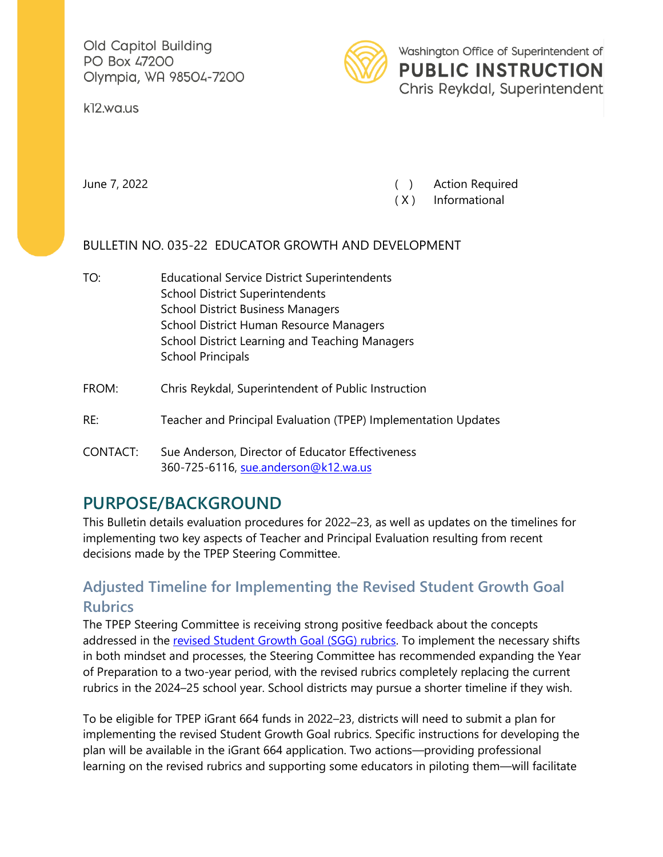Old Capitol Building PO Box 47200 Olympia, WA 98504-7200



Washington Office of Superintendent of **PUBLIC INSTRUCTION** Chris Reykdal, Superintendent

k12.wa.us

June 7, 2022 ( ) Action Required

( X ) Informational

### BULLETIN NO. 035-22 EDUCATOR GROWTH AND DEVELOPMENT

- TO: Educational Service District Superintendents School District Superintendents School District Business Managers School District Human Resource Managers School District Learning and Teaching Managers School Principals
- FROM: Chris Reykdal, Superintendent of Public Instruction
- RE: Teacher and Principal Evaluation (TPEP) Implementation Updates
- CONTACT: Sue Anderson, Director of Educator Effectiveness 360-725-6116, [sue.anderson@k12.wa.us](mailto:sue.anderson@k12.wa.us)

# **PURPOSE/BACKGROUND**

This Bulletin details evaluation procedures for 2022–23, as well as updates on the timelines for implementing two key aspects of Teacher and Principal Evaluation resulting from recent decisions made by the TPEP Steering Committee.

## **Adjusted Timeline for Implementing the Revised Student Growth Goal Rubrics**

The TPEP Steering Committee is receiving strong positive feedback about the concepts addressed in the [revised Student Growth Goal \(SGG\) rubrics.](https://www.k12.wa.us/sites/default/files/public/tpep/studentgrowth/Student%20Growth%20-%2021-22%20Rubrics.pdf) To implement the necessary shifts in both mindset and processes, the Steering Committee has recommended expanding the Year of Preparation to a two-year period, with the revised rubrics completely replacing the current rubrics in the 2024–25 school year. School districts may pursue a shorter timeline if they wish.

To be eligible for TPEP iGrant 664 funds in 2022–23, districts will need to submit a plan for implementing the revised Student Growth Goal rubrics. Specific instructions for developing the plan will be available in the iGrant 664 application. Two actions—providing professional learning on the revised rubrics and supporting some educators in piloting them—will facilitate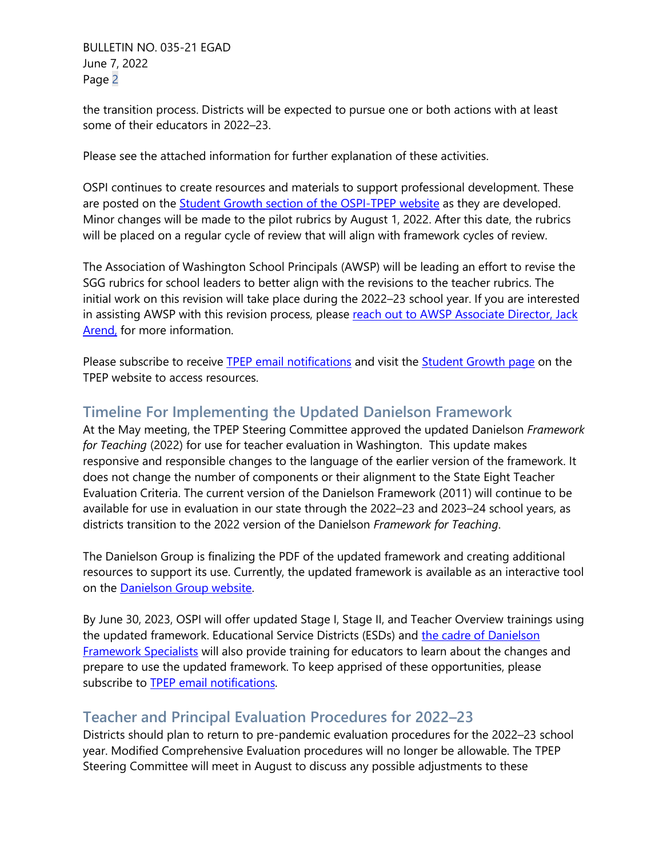BULLETIN NO. 035-21 EGAD June 7, 2022 Page 2

the transition process. Districts will be expected to pursue one or both actions with at least some of their educators in 2022–23.

Please see the attached information for further explanation of these activities.

OSPI continues to create resources and materials to support professional development. These are posted on the [Student Growth section of the OSPI-TPEP website](https://www.k12.wa.us/educator-support/teacherprincipal-evaluation-program/frameworks-and-student-growth/student-growth) as they are developed. Minor changes will be made to the pilot rubrics by August 1, 2022. After this date, the rubrics will be placed on a regular cycle of review that will align with framework cycles of review.

The Association of Washington School Principals (AWSP) will be leading an effort to revise the SGG rubrics for school leaders to better align with the revisions to the teacher rubrics. The initial work on this revision will take place during the 2022–23 school year. If you are interested in assisting AWSP with this revision process, please [reach out to AWSP Associate Director,](mailto:jack@awsp.org) Jack [Arend,](mailto:jack@awsp.org) for more information.

Please subscribe to receive [TPEP email notifications](https://public.govdelivery.com/accounts/WAOSPI/subscriber/new?topic_id=WAOSPI_372) and visit the [Student Growth page](https://www.k12.wa.us/educator-support/teacherprincipal-evaluation-program/frameworks-and-student-growth/student-growth) on the TPEP website to access resources.

### **Timeline For Implementing the Updated Danielson Framework**

At the May meeting, the TPEP Steering Committee approved the updated Danielson *Framework for Teaching* (2022) for use for teacher evaluation in Washington. This update makes responsive and responsible changes to the language of the earlier version of the framework. It does not change the number of components or their alignment to the State Eight Teacher Evaluation Criteria. The current version of the Danielson Framework (2011) will continue to be available for use in evaluation in our state through the 2022–23 and 2023–24 school years, as districts transition to the 2022 version of the Danielson *Framework for Teaching*.

The Danielson Group is finalizing the PDF of the updated framework and creating additional resources to support its use. Currently, the updated framework is available as an interactive tool on the **Danielson Group website**.

By June 30, 2023, OSPI will offer updated Stage I, Stage II, and Teacher Overview trainings using the updated framework. Educational Service Districts (ESDs) and the cadre of Danielson [Framework Specialists](https://www.k12.wa.us/sites/default/files/public/tpep/frameworks/danielson/DANApprovedSpecialist_21-22_Updated.pdf) will also provide training for educators to learn about the changes and prepare to use the updated framework. To keep apprised of these opportunities, please subscribe to [TPEP email notifications.](https://public.govdelivery.com/accounts/WAOSPI/subscriber/new?topic_id=WAOSPI_372)

### **Teacher and Principal Evaluation Procedures for 2022–23**

Districts should plan to return to pre-pandemic evaluation procedures for the 2022–23 school year. Modified Comprehensive Evaluation procedures will no longer be allowable. The TPEP Steering Committee will meet in August to discuss any possible adjustments to these